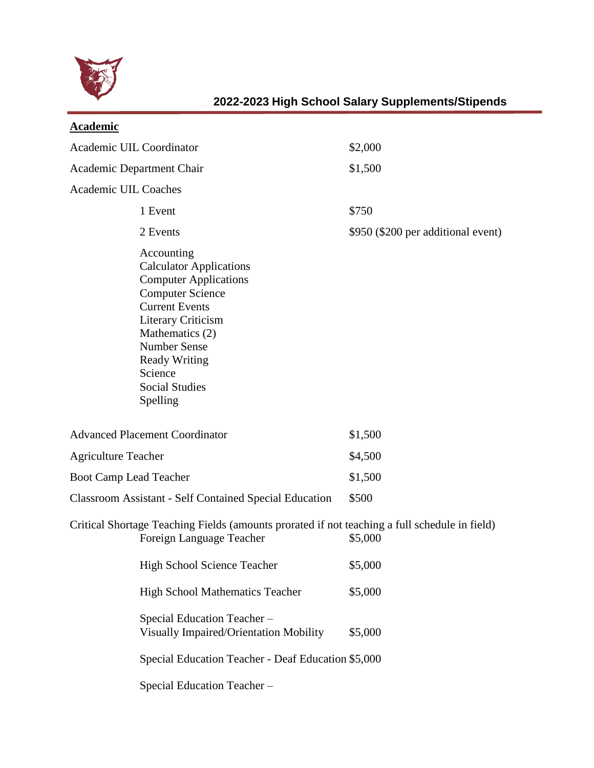

| <b>Academic</b>                                                                                                                                                                                                                                                                 |                                    |
|---------------------------------------------------------------------------------------------------------------------------------------------------------------------------------------------------------------------------------------------------------------------------------|------------------------------------|
| Academic UIL Coordinator                                                                                                                                                                                                                                                        | \$2,000                            |
| Academic Department Chair                                                                                                                                                                                                                                                       | \$1,500                            |
| <b>Academic UIL Coaches</b>                                                                                                                                                                                                                                                     |                                    |
| 1 Event                                                                                                                                                                                                                                                                         | \$750                              |
| 2 Events                                                                                                                                                                                                                                                                        | \$950 (\$200 per additional event) |
| Accounting<br><b>Calculator Applications</b><br><b>Computer Applications</b><br><b>Computer Science</b><br><b>Current Events</b><br><b>Literary Criticism</b><br>Mathematics (2)<br><b>Number Sense</b><br><b>Ready Writing</b><br>Science<br><b>Social Studies</b><br>Spelling |                                    |
| <b>Advanced Placement Coordinator</b>                                                                                                                                                                                                                                           | \$1,500                            |
| <b>Agriculture Teacher</b>                                                                                                                                                                                                                                                      | \$4,500                            |
| <b>Boot Camp Lead Teacher</b>                                                                                                                                                                                                                                                   | \$1,500                            |
| <b>Classroom Assistant - Self Contained Special Education</b>                                                                                                                                                                                                                   | \$500                              |
| Critical Shortage Teaching Fields (amounts prorated if not teaching a full schedule in field)<br>Foreign Language Teacher                                                                                                                                                       | \$5,000                            |
| <b>High School Science Teacher</b>                                                                                                                                                                                                                                              | \$5,000                            |
| <b>High School Mathematics Teacher</b>                                                                                                                                                                                                                                          | \$5,000                            |
| Special Education Teacher-<br>Visually Impaired/Orientation Mobility                                                                                                                                                                                                            | \$5,000                            |
| Special Education Teacher - Deaf Education \$5,000                                                                                                                                                                                                                              |                                    |
| Special Education Teacher-                                                                                                                                                                                                                                                      |                                    |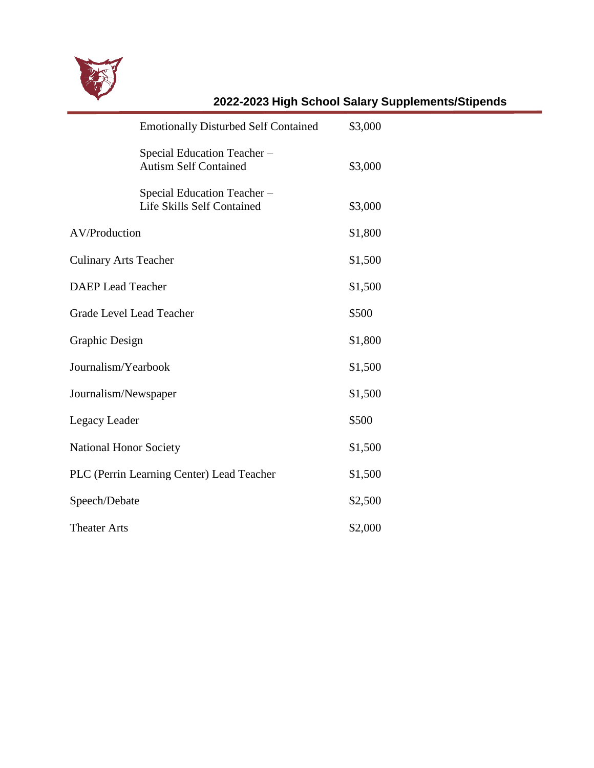

|                              | <b>Emotionally Disturbed Self Contained</b>                     | \$3,000 |
|------------------------------|-----------------------------------------------------------------|---------|
|                              | Special Education Teacher-<br><b>Autism Self Contained</b>      | \$3,000 |
|                              | Special Education Teacher-<br><b>Life Skills Self Contained</b> | \$3,000 |
| AV/Production                |                                                                 | \$1,800 |
| <b>Culinary Arts Teacher</b> |                                                                 | \$1,500 |
| <b>DAEP</b> Lead Teacher     |                                                                 | \$1,500 |
| Grade Level Lead Teacher     |                                                                 | \$500   |
| Graphic Design               |                                                                 | \$1,800 |
| Journalism/Yearbook          |                                                                 | \$1,500 |
| Journalism/Newspaper         |                                                                 | \$1,500 |
| Legacy Leader                |                                                                 | \$500   |
| National Honor Society       |                                                                 | \$1,500 |
|                              | PLC (Perrin Learning Center) Lead Teacher                       | \$1,500 |
| Speech/Debate                |                                                                 | \$2,500 |
| <b>Theater Arts</b>          |                                                                 | \$2,000 |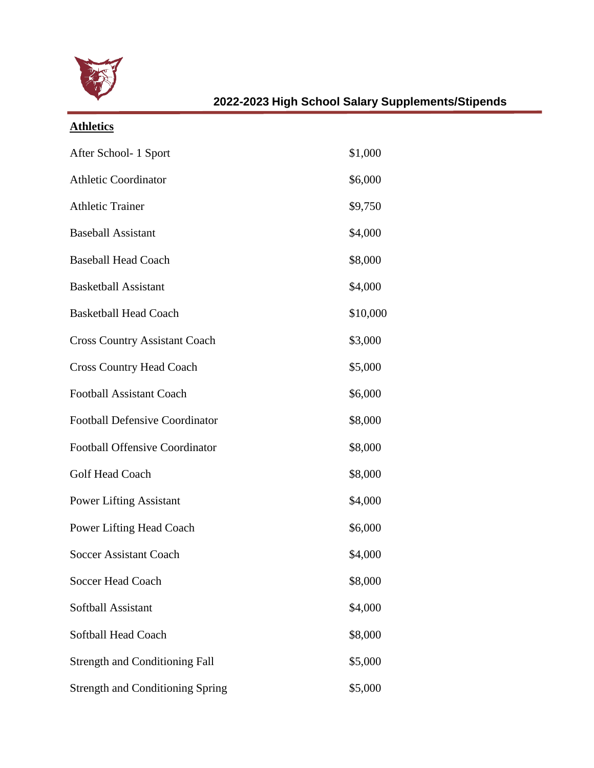

# **Athletics**

| After School- 1 Sport                   | \$1,000  |
|-----------------------------------------|----------|
| <b>Athletic Coordinator</b>             | \$6,000  |
| <b>Athletic Trainer</b>                 | \$9,750  |
| <b>Baseball Assistant</b>               | \$4,000  |
| <b>Baseball Head Coach</b>              | \$8,000  |
| <b>Basketball Assistant</b>             | \$4,000  |
| <b>Basketball Head Coach</b>            | \$10,000 |
| <b>Cross Country Assistant Coach</b>    | \$3,000  |
| <b>Cross Country Head Coach</b>         | \$5,000  |
| <b>Football Assistant Coach</b>         | \$6,000  |
| <b>Football Defensive Coordinator</b>   | \$8,000  |
| <b>Football Offensive Coordinator</b>   | \$8,000  |
| <b>Golf Head Coach</b>                  | \$8,000  |
| <b>Power Lifting Assistant</b>          | \$4,000  |
| Power Lifting Head Coach                | \$6,000  |
| <b>Soccer Assistant Coach</b>           | \$4,000  |
| <b>Soccer Head Coach</b>                | \$8,000  |
| Softball Assistant                      | \$4,000  |
| Softball Head Coach                     | \$8,000  |
| <b>Strength and Conditioning Fall</b>   | \$5,000  |
| <b>Strength and Conditioning Spring</b> | \$5,000  |